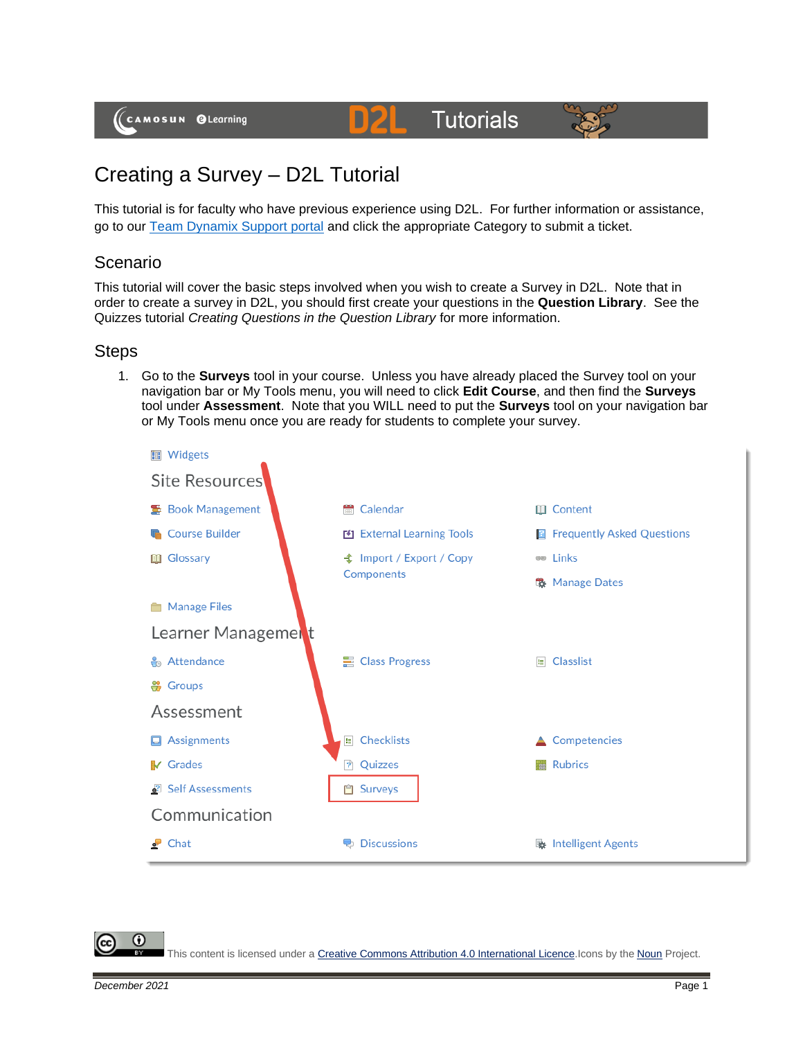# **Tutorials**



# Creating a Survey – D2L Tutorial

This tutorial is for faculty who have previous experience using D2L. For further information or assistance, go to our [Team Dynamix Support portal](https://camosun.teamdynamix.com/TDClient/67/Portal/Requests/ServiceCatalog?CategoryID=523) and click the appropriate Category to submit a ticket.

D21

# Scenario

This tutorial will cover the basic steps involved when you wish to create a Survey in D2L. Note that in order to create a survey in D2L, you should first create your questions in the **Question Library**. See the Quizzes tutorial *Creating Questions in the Question Library* for more information.

## **Steps**

1. Go to the **Surveys** tool in your course. Unless you have already placed the Survey tool on your navigation bar or My Tools menu, you will need to click **Edit Course**, and then find the **Surveys** tool under **Assessment**. Note that you WILL need to put the **Surveys** tool on your navigation bar or My Tools menu once you are ready for students to complete your survey.



G

This content is licensed under [a Creative Commons Attribution 4.0 International Licence.I](https://creativecommons.org/licenses/by/4.0/)cons by the [Noun](https://creativecommons.org/website-icons/) Project.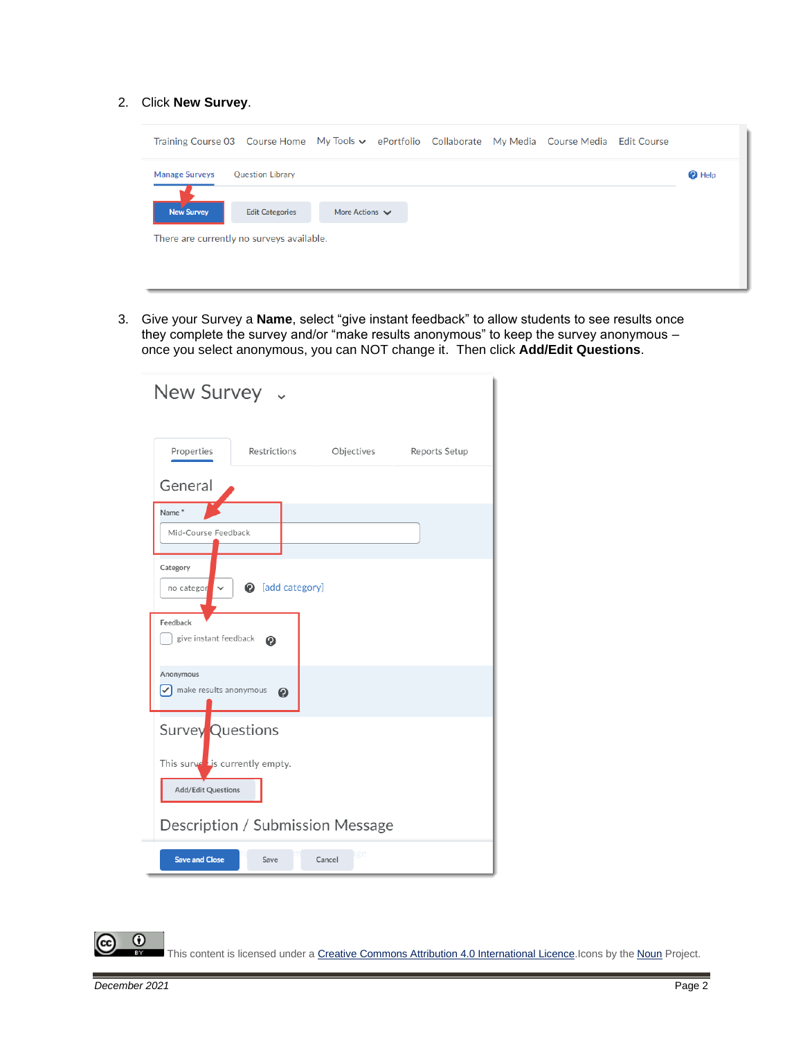#### 2. Click **New Survey**.

| <b>Manage Surveys</b> | <b>Question Library</b> |                |  |  | <b>2</b> Help |
|-----------------------|-------------------------|----------------|--|--|---------------|
|                       |                         |                |  |  |               |
| <b>New Survey</b>     | <b>Edit Categories</b>  | More Actions V |  |  |               |

3. Give your Survey a **Name**, select "give instant feedback" to allow students to see results once they complete the survey and/or "make results anonymous" to keep the survey anonymous – once you select anonymous, you can NOT change it. Then click **Add/Edit Questions**.

| New Survey ~                                              |
|-----------------------------------------------------------|
| Properties<br>Restrictions<br>Objectives<br>Reports Setup |
| General                                                   |
| Name*                                                     |
| Mid-Course Feedback                                       |
| Category                                                  |
| add category]<br>no categor<br>$\checkmark$               |
| Feedback                                                  |
| give instant feedback<br>◉                                |
| Anonymous<br>$\triangledown$ make results anonymous       |
| ℯ                                                         |
| <b>Survey Questions</b>                                   |
| This surved is currently empty.                           |
| <b>Add/Edit Questions</b>                                 |
|                                                           |
| Description / Submission Message                          |
| ige<br><b>Save and Close</b><br>Cancel<br>Save            |

This content is licensed under [a Creative Commons Attribution 4.0 International Licence.I](https://creativecommons.org/licenses/by/4.0/)cons by the [Noun](https://creativecommons.org/website-icons/) Project.

 $\overline{0}$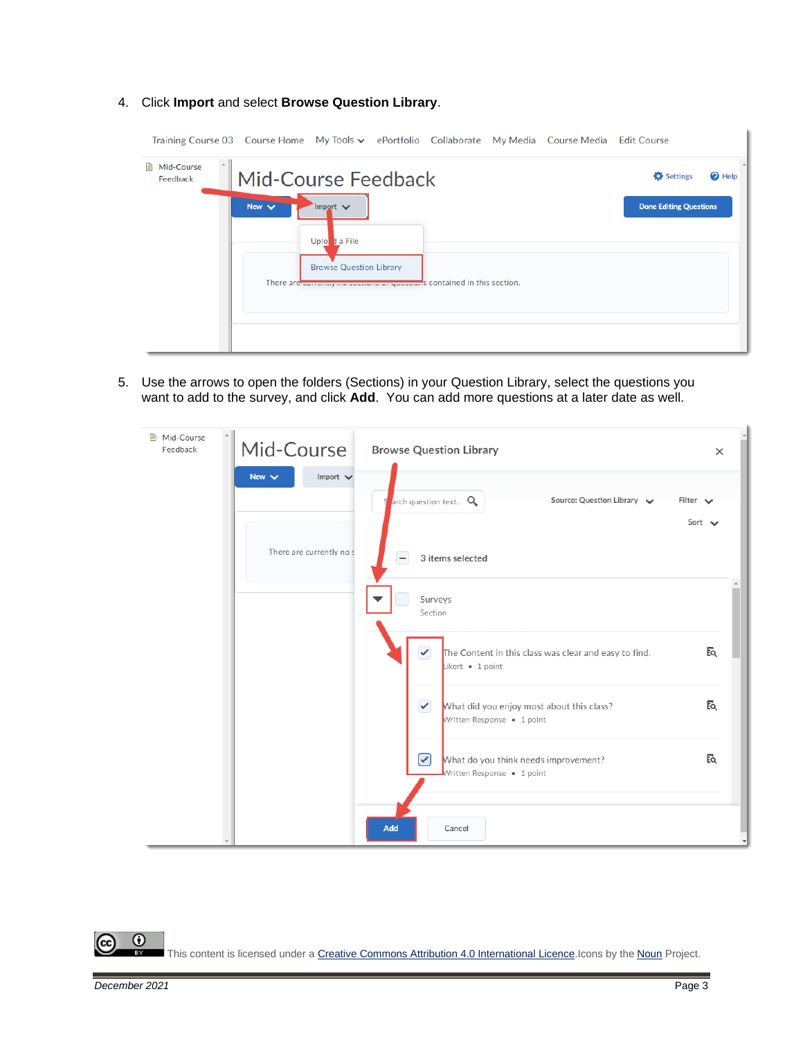Training Course 03 Course Home My Tools v ePortfolio Collaborate My Media Course Media Edit Course Mid-Course Mid-Course Feedback **C** Settings  $\bullet$  Help Feedback Import  $\vee$ **Done Editing Questions** Uplo d a File Browse Question Library s contained in this section. There are

#### 4. Click **Import** and select **Browse Question Library**.

5. Use the arrows to open the folders (Sections) in your Question Library, select the questions you want to add to the survey, and click **Add**. You can add more questions at a later date as well.

| A Mid-Course<br>Feedback |            | Mid-Course               | <b>Browse Question Library</b> |                                                                           | $\times$                     |
|--------------------------|------------|--------------------------|--------------------------------|---------------------------------------------------------------------------|------------------------------|
|                          | New $\vee$ | Import $\vee$            | arch question text Q           | Source: Question Library $\smile$                                         | Filter $\vee$<br>Sort $\vee$ |
|                          |            | There are currently no s | $\overline{\phantom{a}}$       | 3 items selected                                                          |                              |
|                          |            |                          | Surveys<br>Section             |                                                                           |                              |
|                          |            |                          | $\checkmark$                   | The Content in this class was clear and easy to find.<br>Likert • 1 point | Еq                           |
|                          |            |                          | $\checkmark$                   | What did you enjoy most about this class?<br>Written Response · 1 point   | Eq                           |
|                          |            |                          | $\bm{\odot}$                   | What do you think needs improvement?<br>Written Response • 1 point        | Eq.                          |
|                          |            |                          | Add                            | Cancel                                                                    |                              |

 $\odot$ This content is licensed under [a Creative Commons Attribution 4.0 International Licence.I](https://creativecommons.org/licenses/by/4.0/)cons by the [Noun](https://creativecommons.org/website-icons/) Project.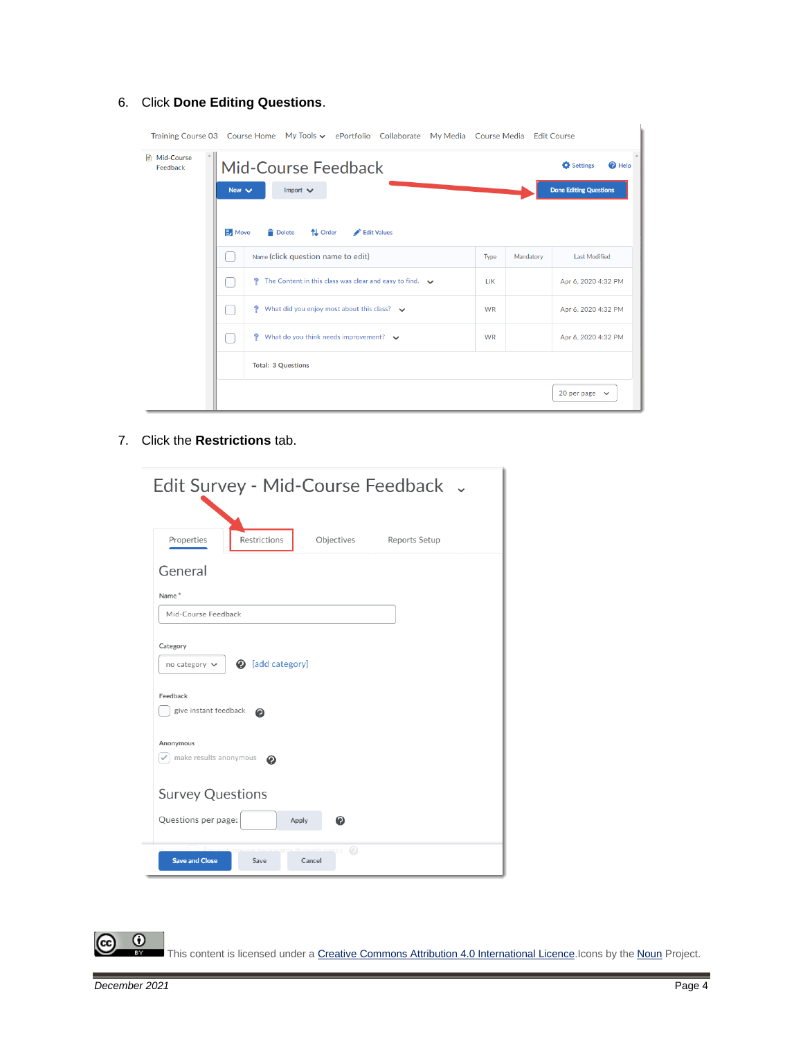## 6. Click **Done Editing Questions**.

|                        | Training Course 03 Course Home My Tools v ePortfolio Collaborate My Media Course Media Edit Course |                                                                       |           |                             |
|------------------------|----------------------------------------------------------------------------------------------------|-----------------------------------------------------------------------|-----------|-----------------------------|
| Mid-Course<br>Feedback | Mid-Course Feedback<br>New $\vee$<br>Import $\vee$                                                 | <b>Settings</b><br><sup>2</sup> Help<br><b>Done Editing Questions</b> |           |                             |
|                        | Move<br><b>Delete</b><br>↑↓ Order<br>Edit Values                                                   |                                                                       |           |                             |
|                        | Name (click question name to edit)                                                                 | Type                                                                  | Mandatory | <b>Last Modified</b>        |
|                        | The Content in this class was clear and easy to find. $\rightarrow$<br>v                           | <b>LIK</b>                                                            |           | Apr 6, 2020 4:32 PM         |
|                        | What did you enjoy most about this class? $\bullet$<br>7                                           | <b>WR</b>                                                             |           | Apr 6, 2020 4:32 PM         |
|                        | What do you think needs improvement? $\vee$<br>G                                                   | <b>WR</b>                                                             |           | Apr 6, 2020 4:32 PM         |
|                        | <b>Total: 3 Questions</b>                                                                          |                                                                       |           |                             |
|                        |                                                                                                    |                                                                       |           | 20 per page<br>$\checkmark$ |

7. Click the **Restrictions** tab.

|                                                                                                     |                                   |             | Edit Survey - Mid-Course Feedback . |  |
|-----------------------------------------------------------------------------------------------------|-----------------------------------|-------------|-------------------------------------|--|
| Properties                                                                                          | Restrictions                      | Objectives  | Reports Setup                       |  |
| General                                                                                             |                                   |             |                                     |  |
| Name*                                                                                               |                                   |             |                                     |  |
| Mid-Course Feedback                                                                                 |                                   |             |                                     |  |
| no category $\vee$<br>Feedback<br>give instant feedback<br>Anonymous<br>make results anonymous<br>✓ | <b>@</b> [add category]<br>◉<br>◉ |             |                                     |  |
| <b>Survey Questions</b>                                                                             |                                   |             |                                     |  |
| Questions per page:                                                                                 | Apply                             | ๏           |                                     |  |
| <b>Save and Close</b>                                                                               | Save                              | Ω<br>Cancel |                                     |  |

 $\frac{0}{x}$ This content is licensed under [a Creative Commons Attribution 4.0 International Licence.I](https://creativecommons.org/licenses/by/4.0/)cons by the [Noun](https://creativecommons.org/website-icons/) Project.

ဇ